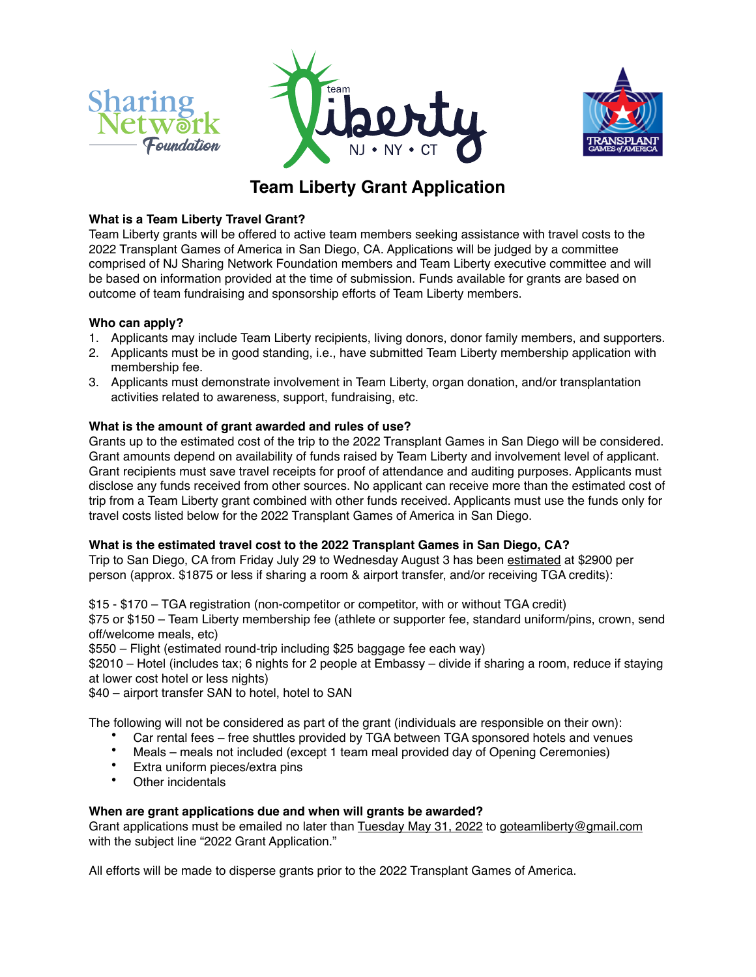





# **Team Liberty Grant Application**

#### **What is a Team Liberty Travel Grant?**

Team Liberty grants will be offered to active team members seeking assistance with travel costs to the 2022 Transplant Games of America in San Diego, CA. Applications will be judged by a committee comprised of NJ Sharing Network Foundation members and Team Liberty executive committee and will be based on information provided at the time of submission. Funds available for grants are based on outcome of team fundraising and sponsorship efforts of Team Liberty members.

#### **Who can apply?**

- 1. Applicants may include Team Liberty recipients, living donors, donor family members, and supporters.
- 2. Applicants must be in good standing, i.e., have submitted Team Liberty membership application with membership fee.
- 3. Applicants must demonstrate involvement in Team Liberty, organ donation, and/or transplantation activities related to awareness, support, fundraising, etc.

#### **What is the amount of grant awarded and rules of use?**

Grants up to the estimated cost of the trip to the 2022 Transplant Games in San Diego will be considered. Grant amounts depend on availability of funds raised by Team Liberty and involvement level of applicant. Grant recipients must save travel receipts for proof of attendance and auditing purposes. Applicants must disclose any funds received from other sources. No applicant can receive more than the estimated cost of trip from a Team Liberty grant combined with other funds received. Applicants must use the funds only for travel costs listed below for the 2022 Transplant Games of America in San Diego.

### **What is the estimated travel cost to the 2022 Transplant Games in San Diego, CA?**

Trip to San Diego, CA from Friday July 29 to Wednesday August 3 has been estimated at \$2900 per person (approx. \$1875 or less if sharing a room & airport transfer, and/or receiving TGA credits):

\$15 - \$170 – TGA registration (non-competitor or competitor, with or without TGA credit)

\$75 or \$150 – Team Liberty membership fee (athlete or supporter fee, standard uniform/pins, crown, send off/welcome meals, etc)

\$550 – Flight (estimated round-trip including \$25 baggage fee each way)

\$2010 – Hotel (includes tax; 6 nights for 2 people at Embassy – divide if sharing a room, reduce if staying at lower cost hotel or less nights)

\$40 – airport transfer SAN to hotel, hotel to SAN

The following will not be considered as part of the grant (individuals are responsible on their own):

- Car rental fees free shuttles provided by TGA between TGA sponsored hotels and venues
- Meals meals not included (except 1 team meal provided day of Opening Ceremonies)
- Extra uniform pieces/extra pins
- Other incidentals

#### **When are grant applications due and when will grants be awarded?**

Grant applications must be emailed no later than Tuesday May 31, 2022 to goteamliberty@gmail.com with the subject line "2022 Grant Application."

All efforts will be made to disperse grants prior to the 2022 Transplant Games of America.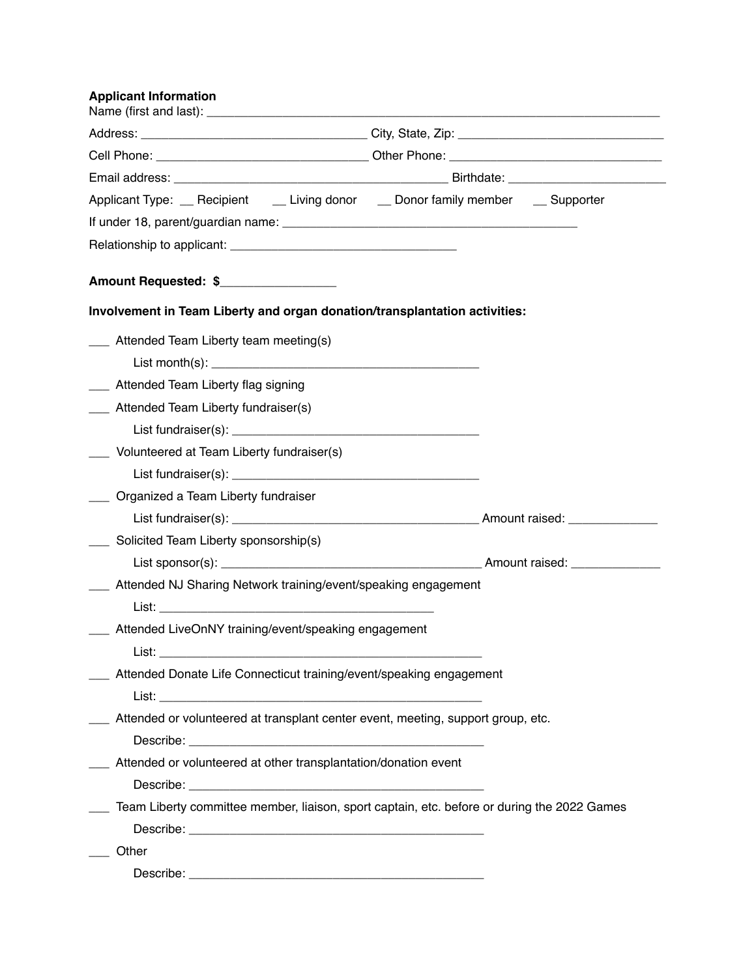## **Applicant Information**

| Applicant Type: <u>pecipient butching</u> donor both on the Supporter butching Applicant Type: perporter                                                                                                                        |  |
|---------------------------------------------------------------------------------------------------------------------------------------------------------------------------------------------------------------------------------|--|
|                                                                                                                                                                                                                                 |  |
|                                                                                                                                                                                                                                 |  |
| Amount Requested: \$                                                                                                                                                                                                            |  |
| Involvement in Team Liberty and organ donation/transplantation activities:                                                                                                                                                      |  |
| ___ Attended Team Liberty team meeting(s)                                                                                                                                                                                       |  |
| List month(s): $\sqrt{2}$ month is a set of the set of the set of the set of the set of the set of the set of the set of the set of the set of the set of the set of the set of the set of the set of the set of the set of the |  |
| ___ Attended Team Liberty flag signing                                                                                                                                                                                          |  |
| ___ Attended Team Liberty fundraiser(s)                                                                                                                                                                                         |  |
|                                                                                                                                                                                                                                 |  |
| ___ Volunteered at Team Liberty fundraiser(s)                                                                                                                                                                                   |  |
|                                                                                                                                                                                                                                 |  |
| ___ Organized a Team Liberty fundraiser                                                                                                                                                                                         |  |
|                                                                                                                                                                                                                                 |  |
| ____ Solicited Team Liberty sponsorship(s)                                                                                                                                                                                      |  |
|                                                                                                                                                                                                                                 |  |
| ___ Attended NJ Sharing Network training/event/speaking engagement                                                                                                                                                              |  |
|                                                                                                                                                                                                                                 |  |
| ___ Attended LiveOnNY training/event/speaking engagement                                                                                                                                                                        |  |
| List:                                                                                                                                                                                                                           |  |
| Attended Donate Life Connecticut training/event/speaking engagement                                                                                                                                                             |  |
|                                                                                                                                                                                                                                 |  |
| ___ Attended or volunteered at transplant center event, meeting, support group, etc.                                                                                                                                            |  |
|                                                                                                                                                                                                                                 |  |
| __ Attended or volunteered at other transplantation/donation event                                                                                                                                                              |  |
|                                                                                                                                                                                                                                 |  |
| Team Liberty committee member, liaison, sport captain, etc. before or during the 2022 Games                                                                                                                                     |  |
|                                                                                                                                                                                                                                 |  |
| Other                                                                                                                                                                                                                           |  |
|                                                                                                                                                                                                                                 |  |